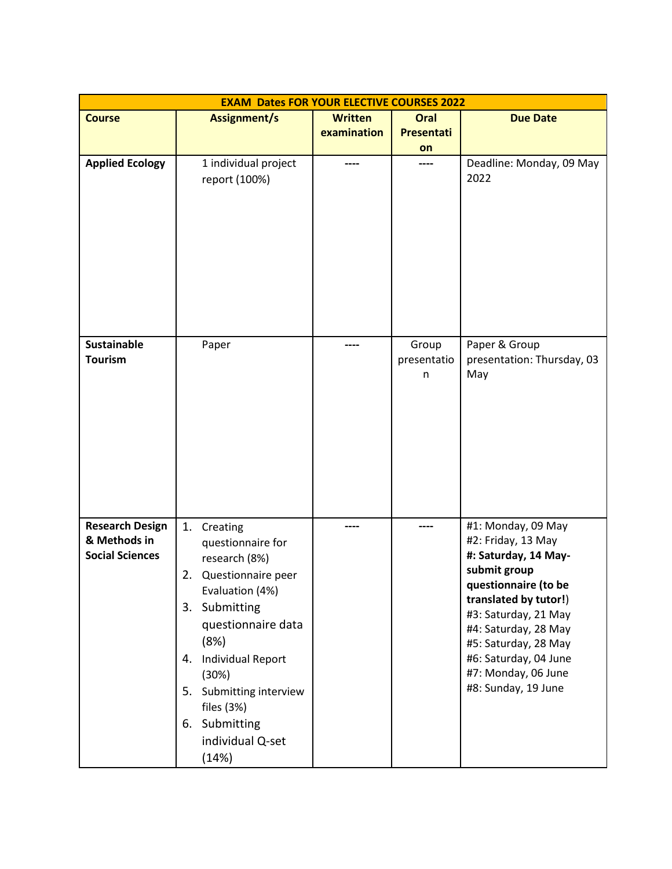| <b>EXAM Dates FOR YOUR ELECTIVE COURSES 2022</b> |                                             |                               |                           |                                                                      |  |  |
|--------------------------------------------------|---------------------------------------------|-------------------------------|---------------------------|----------------------------------------------------------------------|--|--|
| <b>Course</b>                                    | Assignment/s                                | <b>Written</b><br>examination | Oral<br><b>Presentati</b> | <b>Due Date</b>                                                      |  |  |
| <b>Applied Ecology</b>                           | 1 individual project<br>report (100%)       |                               | on                        | Deadline: Monday, 09 May<br>2022                                     |  |  |
|                                                  |                                             |                               |                           |                                                                      |  |  |
| <b>Sustainable</b>                               | Paper                                       | ----                          | Group                     | Paper & Group                                                        |  |  |
| <b>Tourism</b>                                   |                                             |                               | presentatio<br>n          | presentation: Thursday, 03<br>May                                    |  |  |
|                                                  |                                             |                               |                           |                                                                      |  |  |
| <b>Research Design</b><br>& Methods in           | 1.<br>Creating<br>questionnaire for         |                               | ----                      | #1: Monday, 09 May<br>#2: Friday, 13 May                             |  |  |
| <b>Social Sciences</b>                           | research (8%)<br>Questionnaire peer<br>2.   |                               |                           | #: Saturday, 14 May-<br>submit group                                 |  |  |
|                                                  | Evaluation (4%)                             |                               |                           | questionnaire (to be<br>translated by tutor!)                        |  |  |
|                                                  | 3. Submitting<br>questionnaire data<br>(8%) |                               |                           | #3: Saturday, 21 May<br>#4: Saturday, 28 May                         |  |  |
|                                                  | 4. Individual Report<br>(30%)               |                               |                           | #5: Saturday, 28 May<br>#6: Saturday, 04 June<br>#7: Monday, 06 June |  |  |
|                                                  | 5. Submitting interview<br>files $(3%)$     |                               |                           | #8: Sunday, 19 June                                                  |  |  |
|                                                  | 6. Submitting<br>individual Q-set           |                               |                           |                                                                      |  |  |
|                                                  | (14%)                                       |                               |                           |                                                                      |  |  |